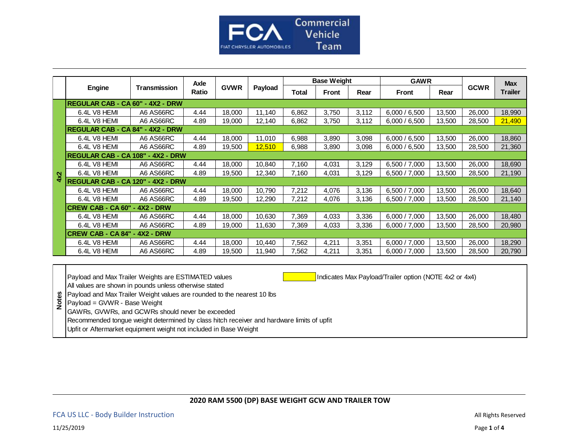

|     |                                         |              | <b>Axle</b> | <b>GVWR</b> | Payload |       | <b>Base Weight</b> |       | <b>GAWR</b>   |        |             | <b>Max</b>     |
|-----|-----------------------------------------|--------------|-------------|-------------|---------|-------|--------------------|-------|---------------|--------|-------------|----------------|
|     | <b>Engine</b>                           | Transmission | Ratio       |             |         | Total | <b>Front</b>       | Rear  | <b>Front</b>  | Rear   | <b>GCWR</b> | <b>Trailer</b> |
|     | <b>REGULAR CAB - CA 60" - 4X2 - DRW</b> |              |             |             |         |       |                    |       |               |        |             |                |
|     | 6.4L V8 HEMI                            | A6 AS66RC    | 4.44        | 18,000      | 11.140  | 6,862 | 3,750              | 3,112 | 6,000 / 6,500 | 13,500 | 26,000      | 18,990         |
|     | 6.4L V8 HEMI                            | A6 AS66RC    | 4.89        | 19,000      | 12,140  | 6,862 | 3,750              | 3,112 | 6,000 / 6,500 | 13,500 | 28,500      | 21,490         |
|     | REGULAR CAB - CA 84" - 4X2 - DRW        |              |             |             |         |       |                    |       |               |        |             |                |
|     | 6.4L V8 HEMI                            | A6 AS66RC    | 4.44        | 18,000      | 11.010  | 6,988 | 3.890              | 3,098 | 6,000 / 6,500 | 13,500 | 26,000      | 18,860         |
|     | 6.4L V8 HEMI                            | A6 AS66RC    | 4.89        | 19,500      | 12,510  | 6,988 | 3,890              | 3,098 | 6,000 / 6,500 | 13,500 | 28,500      | 21,360         |
|     | REGULAR CAB - CA 108" - 4X2 - DRW       |              |             |             |         |       |                    |       |               |        |             |                |
|     | 6.4L V8 HEMI                            | A6 AS66RC    | 4.44        | 18,000      | 10,840  | 7,160 | 4,031              | 3,129 | 6,500 / 7,000 | 13,500 | 26,000      | 18,690         |
| 4x2 | 6.4L V8 HEMI                            | A6 AS66RC    | 4.89        | 19,500      | 12,340  | 7,160 | 4.031              | 3,129 | 6,500 / 7,000 | 13.500 | 28,500      | 21,190         |
|     | REGULAR CAB - CA 120" - 4X2 - DRW       |              |             |             |         |       |                    |       |               |        |             |                |
|     | 6.4L V8 HEMI                            | A6 AS66RC    | 4.44        | 18.000      | 10.790  | 7,212 | 4.076              | 3,136 | 6.500 / 7.000 | 13.500 | 26,000      | 18,640         |
|     | 6.4L V8 HEMI                            | A6 AS66RC    | 4.89        | 19,500      | 12,290  | 7,212 | 4,076              | 3,136 | 6,500 / 7,000 | 13,500 | 28,500      | 21,140         |
|     | <b>CREW CAB - CA 60" - 4X2 - DRW</b>    |              |             |             |         |       |                    |       |               |        |             |                |
|     | 6.4L V8 HEMI                            | A6 AS66RC    | 4.44        | 18,000      | 10,630  | 7,369 | 4,033              | 3,336 | 6,000 / 7,000 | 13,500 | 26,000      | 18,480         |
|     | 6.4L V8 HEMI                            | A6 AS66RC    | 4.89        | 19,000      | 11,630  | 7,369 | 4,033              | 3,336 | 6,000 / 7,000 | 13.500 | 28,500      | 20,980         |
|     | <b>CREW CAB - CA 84" - 4X2 - DRW</b>    |              |             |             |         |       |                    |       |               |        |             |                |
|     | 6.4L V8 HEMI                            | A6 AS66RC    | 4.44        | 18,000      | 10,440  | 7,562 | 4,211              | 3,351 | 6,000 / 7,000 | 13,500 | 26,000      | 18,290         |
|     | 6.4L V8 HEMI                            | A6 AS66RC    | 4.89        | 19,500      | 11,940  | 7,562 | 4,211              | 3,351 | 6,000 / 7,000 | 13,500 | 28,500      | 20,790         |

Payload and Max Trailer Weights are ESTIMATED values Indicates Max Payload/Trailer option (NOTE 4x2 or 4x4)

All values are shown in pounds unless otherwise stated

Payload and Max Trailer Weight values are rounded to the nearest 10 lbs

Payload = GVWR - Base Weight

GAWRs, GVWRs, and GCWRs should never be exceeded

Recommended tongue weight determined by class hitch receiver and hardware limits of upfit Upfit or Aftermarket equipment weight values are rounded to the nearest<br>
Payload = GVWR - Base Weight<br>
GAWRs, GVWRs, and GCWRs should never be exceeded<br>
Recommended tongue weight determined by class hitch receiver a<br>
Upfit

## **2020 RAM 5500 (DP) BASE WEIGHT GCW AND TRAILER TOW**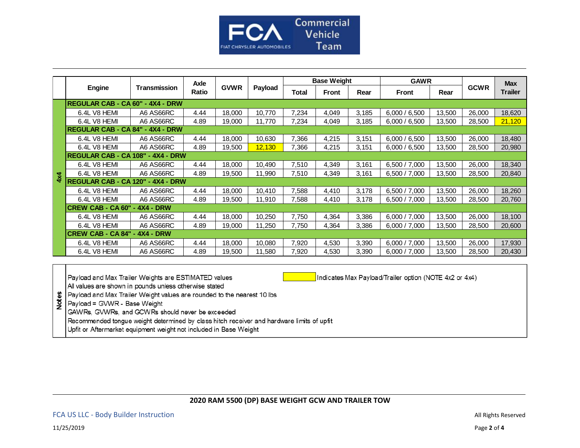

|     |                                      |              | <b>Axle</b> | <b>GVWR</b> | Payload |       | <b>Base Weight</b> |       | <b>GAWR</b>   |        | <b>GCWR</b> | <b>Max</b> |  |
|-----|--------------------------------------|--------------|-------------|-------------|---------|-------|--------------------|-------|---------------|--------|-------------|------------|--|
|     | Engine                               | Transmission | Ratio       |             |         | Total | <b>Front</b>       | Rear  | Front         | Rear   |             | Trailer    |  |
|     | IREGULAR CAB - CA 60" - 4X4 - DRW    |              |             |             |         |       |                    |       |               |        |             |            |  |
|     | 6.4L V8 HEMI                         | A6 AS66RC    | 4.44        | 18,000      | 10,770  | 7,234 | 4,049              | 3,185 | 6,000 / 6,500 | 13,500 | 26,000      | 18,620     |  |
|     | 6.4L V8 HEMI                         | A6 AS66RC    | 4.89        | 19,000      | 11,770  | 7,234 | 4,049              | 3,185 | 6,000 / 6,500 | 13,500 | 28,500      | 21,120     |  |
|     | REGULAR CAB - CA 84" - 4X4 - DRW     |              |             |             |         |       |                    |       |               |        |             |            |  |
|     | 6.4L V8 HEMI                         | A6 AS66RC    | 4.44        | 18,000      | 10,630  | 7,366 | 4,215              | 3,151 | 6,000 / 6,500 | 13,500 | 26,000      | 18,480     |  |
|     | 6.4L V8 HEMI                         | A6 AS66RC    | 4.89        | 19.500      | 12.130  | 7,366 | 4,215              | 3.151 | 6,000 / 6,500 | 13,500 | 28,500      | 20,980     |  |
|     | IREGULAR CAB - CA 108" - 4X4 - DRW   |              |             |             |         |       |                    |       |               |        |             |            |  |
|     | 6.4L V8 HEMI                         | A6 AS66RC    | 4.44        | 18,000      | 10,490  | 7,510 | 4,349              | 3,161 | 6,500 / 7,000 | 13,500 | 26,000      | 18,340     |  |
| 4x4 | 6.4L V8 HEMI                         | A6 AS66RC    | 4.89        | 19.500      | 11.990  | 7,510 | 4.349              | 3.161 | 6,500 / 7,000 | 13.500 | 28,500      | 20,840     |  |
|     | REGULAR CAB - CA 120" - 4X4 - DRW    |              |             |             |         |       |                    |       |               |        |             |            |  |
|     | 6.4L V8 HEMI                         | A6 AS66RC    | 4.44        | 18,000      | 10,410  | 7,588 | 4,410              | 3,178 | 6,500 / 7,000 | 13,500 | 26,000      | 18,260     |  |
|     | 6.4L V8 HEMI                         | A6 AS66RC    | 4.89        | 19,500      | 11,910  | 7,588 | 4,410              | 3,178 | 6,500 / 7,000 | 13,500 | 28,500      | 20,760     |  |
|     | <b>CREW CAB - CA 60" - 4X4 - DRW</b> |              |             |             |         |       |                    |       |               |        |             |            |  |
|     | 6.4L V8 HEMI                         | A6 AS66RC    | 4.44        | 18,000      | 10,250  | 7,750 | 4,364              | 3,386 | 6,000 / 7,000 | 13,500 | 26,000      | 18,100     |  |
|     | 6.4L V8 HEMI                         | A6 AS66RC    | 4.89        | 19,000      | 11,250  | 7,750 | 4,364              | 3,386 | 6,000 / 7,000 | 13,500 | 28,500      | 20,600     |  |
|     | <b>CREW CAB - CA 84"</b>             | - 4X4 - DRW  |             |             |         |       |                    |       |               |        |             |            |  |
|     | 6.4L V8 HEMI                         | A6 AS66RC    | 4.44        | 18,000      | 10,080  | 7,920 | 4,530              | 3,390 | 6,000 / 7,000 | 13,500 | 26,000      | 17,930     |  |
|     | 6.4L V8 HEMI                         | A6 AS66RC    | 4.89        | 19,500      | 11,580  | 7,920 | 4,530              | 3,390 | 6,000 / 7,000 | 13,500 | 28,500      | 20,430     |  |

Payload and Max Trailer Weights are ESTIMATED values

Indicates Max Payload/Trailer option (NOTE 4x2 or 4x4)

All values are shown in pounds unless otherwise stated

Payload and Max Trailer Weight<br>Payload = GVWR - Base Weight<br>CAMPs CAMPs and CCM/Rs should navar be averaged

GAWRs, GVWRs, and GCWRs should never be exceeded

Recommended tongue weight determined by class hitch receiver and hardware limits of upfit

Upfit or Aftermarket equipment weight not included in Base Weight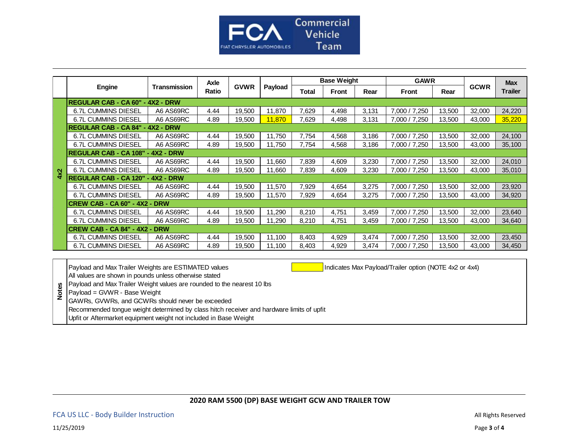

|     |                                         |                     | Axle  | <b>GVWR</b> | Payload |       | <b>Base Weight</b> |       | <b>GAWR</b>   |        |             | <b>Max</b>     |
|-----|-----------------------------------------|---------------------|-------|-------------|---------|-------|--------------------|-------|---------------|--------|-------------|----------------|
|     | <b>Engine</b>                           | <b>Transmission</b> | Ratio |             |         | Total | <b>Front</b>       | Rear  | <b>Front</b>  | Rear   | <b>GCWR</b> | <b>Trailer</b> |
|     | REGULAR CAB - CA 60" - 4X2 - DRW        |                     |       |             |         |       |                    |       |               |        |             |                |
|     | 6.7L CUMMINS DIESEL                     | A6 AS69RC           | 4.44  | 19,500      | 11,870  | 7,629 | 4,498              | 3,131 | 7,000 / 7,250 | 13,500 | 32,000      | 24,220         |
|     | 6.7L CUMMINS DIESEL                     | A6 AS69RC           | 4.89  | 19,500      | 11,870  | 7,629 | 4,498              | 3,131 | 7,000 / 7,250 | 13,500 | 43,000      | 35,220         |
|     | <b>REGULAR CAB - CA 84" - 4X2 - DRW</b> |                     |       |             |         |       |                    |       |               |        |             |                |
|     | 6.7L CUMMINS DIESEL                     | A6 AS69RC           | 4.44  | 19,500      | 11,750  | 7,754 | 4,568              | 3,186 | 7,000 / 7,250 | 13,500 | 32,000      | 24,100         |
|     | 6.7L CUMMINS DIESEL                     | A6 AS69RC           | 4.89  | 19,500      | 11,750  | 7,754 | 4,568              | 3,186 | 7.000 / 7.250 | 13,500 | 43,000      | 35,100         |
|     | REGULAR CAB - CA 108" - 4X2 - DRW       |                     |       |             |         |       |                    |       |               |        |             |                |
|     | 6.7L CUMMINS DIESEL                     | A6 AS69RC           | 4.44  | 19,500      | 11,660  | 7,839 | 4,609              | 3,230 | 7.000 / 7.250 | 13,500 | 32,000      | 24,010         |
| 4x2 | 6.7L CUMMINS DIESEL                     | A6 AS69RC           | 4.89  | 19,500      | 11.660  | 7,839 | 4,609              | 3,230 | 7.000 / 7.250 | 13,500 | 43,000      | 35,010         |
|     | REGULAR CAB - CA 120" - 4X2 - DRW       |                     |       |             |         |       |                    |       |               |        |             |                |
|     | 6.7L CUMMINS DIESEL                     | A6 AS69RC           | 4.44  | 19,500      | 11,570  | 7.929 | 4,654              | 3.275 | 7,000 / 7,250 | 13,500 | 32,000      | 23,920         |
|     | 6.7L CUMMINS DIESEL                     | A6 AS69RC           | 4.89  | 19,500      | 11,570  | 7,929 | 4,654              | 3,275 | 7,000 / 7,250 | 13,500 | 43,000      | 34,920         |
|     | <b>CREW CAB - CA 60" - 4X2 - DRW</b>    |                     |       |             |         |       |                    |       |               |        |             |                |
|     | 6.7L CUMMINS DIESEL                     | A6 AS69RC           | 4.44  | 19,500      | 11,290  | 8,210 | 4,751              | 3,459 | 7,000 / 7,250 | 13,500 | 32,000      | 23,640         |
|     | 6.7L CUMMINS DIESEL                     | A6 AS69RC           | 4.89  | 19,500      | 11,290  | 8,210 | 4,751              | 3,459 | 7.000 / 7.250 | 13,500 | 43,000      | 34,640         |
|     | <b>CREW CAB - CA 84" - 4X2 - DRW</b>    |                     |       |             |         |       |                    |       |               |        |             |                |
|     | 6.7L CUMMINS DIESEL                     | A6 AS69RC           | 4.44  | 19,500      | 11,100  | 8,403 | 4,929              | 3,474 | 7,000 / 7,250 | 13,500 | 32,000      | 23,450         |
|     | <b>6.7L CUMMINS DIESEL</b>              | A6 AS69RC           | 4.89  | 19,500      | 11,100  | 8,403 | 4,929              | 3,474 | 7,000 / 7,250 | 13,500 | 43,000      | 34,450         |

Payload and Max Trailer Weights are ESTIMATED values Indicates Max Payload/Trailer option (NOTE 4x2 or 4x4)

All values are shown in pounds unless otherwise stated

Payload and Max Trailer Weight values are rounded to the nearest 10 lbs

Payload = GVWR - Base Weight

GAWRs, GVWRs, and GCWRs should never be exceeded

Recommended tongue weight determined by class hitch receiver and hardware limits of upfit Payload and Max Trailer Weight values are rounded to the hearest<br>Payload = GVWR - Base Weight<br>GAWRs, GVWRs, and GCWRs should never be exceeded<br>Recommended tongue weight determined by class hitch receiver a<br>Upfit or Afterma